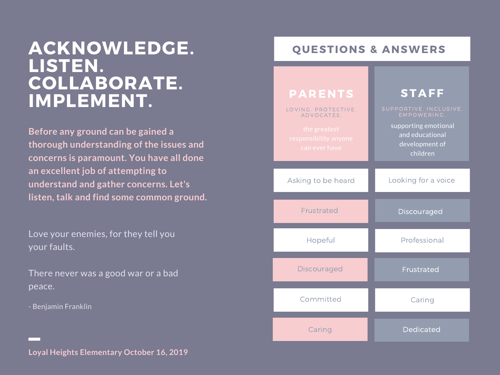**Before any ground can be gained a thorough understanding of the issues and concerns is paramount. You have all done an excellent job of attempting to understand and gather concerns. Let's listen, talk and find some common ground.**

Love your enemies, for they tell you your faults.

There never was a good war or a bad peace.

- Benjamin Franklin

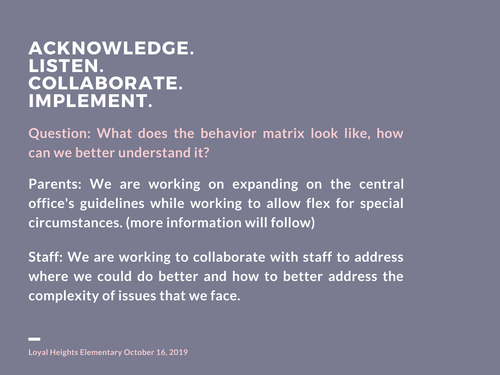**Question: What does the behavior matrix look like, how can we better understand it?**

**Parents: We are working on expanding on the central office's guidelines while working to allow flex for special circumstances. (more information will follow)**

**Staff: We are working to collaborate with staff to address where we could do better and how to better address the complexity of issues that we face.**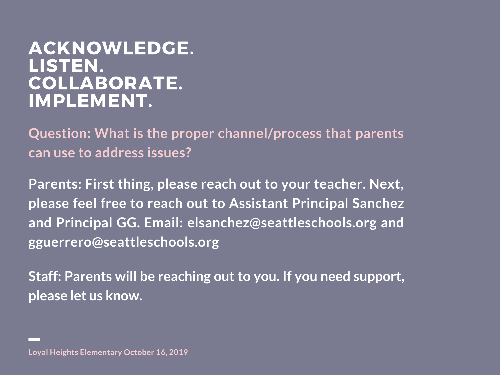**Question: What is the proper channel/process that parents can use to address issues?**

**Parents: First thing, please reach out to your teacher. Next, please feel free to reach out to Assistant Principal Sanchez and Principal GG. Email: elsanchez@seattleschools.org and gguerrero@seattleschools.org**

**Staff: Parents will be reaching out to you. If you need support, please let us know.**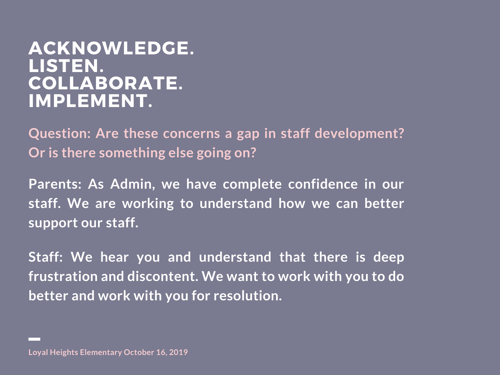**Question: Are these concerns a gap in staff development? Or is there something else going on?**

**Parents: As Admin, we have complete confidence in our staff. We are working to understand how we can better support our staff.**

**Staff: We hear you and understand that there is deep frustration and discontent. We want to work with you to do better and work with you for resolution.**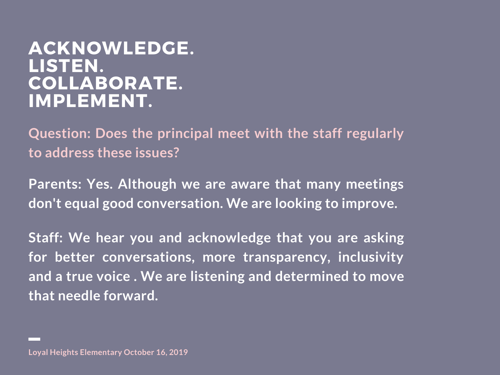**Question: Does the principal meet with the staff regularly to address these issues?**

**Parents: Yes. Although we are aware that many meetings don't equal good conversation. We are looking to improve.**

**Staff: We hear you and acknowledge that you are asking for better conversations, more transparency, inclusivity and a true voice . We are listening and determined to move that needle forward.**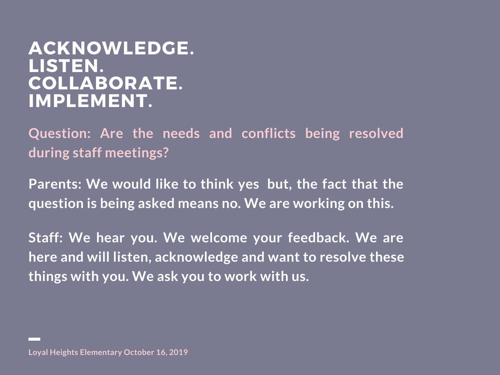**Question: Are the needs and conflicts being resolved during staff meetings?**

**Parents: We would like to think yes but, the fact that the question is being asked means no. We are working on this.**

**Staff: We hear you. We welcome your feedback. We are here and will listen, acknowledge and want to resolve these things with you. We ask you to work with us.**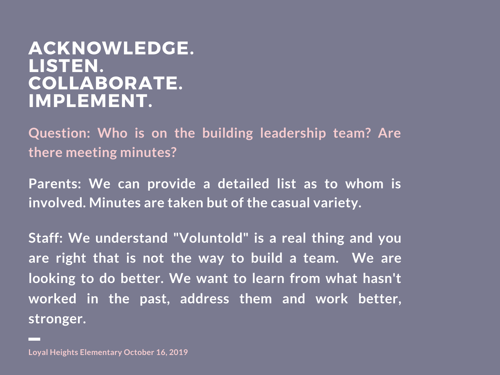**Question: Who is on the building leadership team? Are there meeting minutes?**

**Parents: We can provide a detailed list as to whom is involved. Minutes are taken but of the casual variety.**

**Staff: We understand "Voluntold" is a real thing and you are right that is not the way to build a team. We are looking to do better. We want to learn from what hasn't worked in the past, address them and work better, stronger.**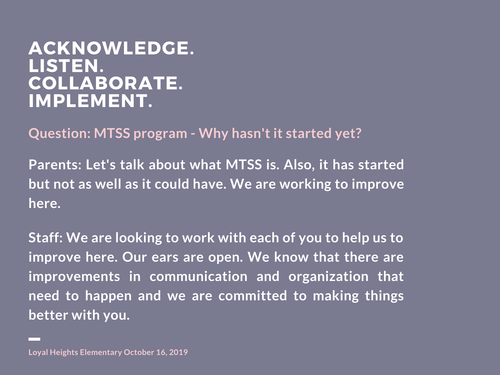**Question: MTSS program - Why hasn't it started yet?**

**Parents: Let's talk about what MTSS is. Also, it has started but not as well as it could have. We are working to improve here.**

**Staff: We are looking to work with each of you to help us to improve here. Our ears are open. We know that there are improvements in communication and organization that need to happen and we are committed to making things better with you.**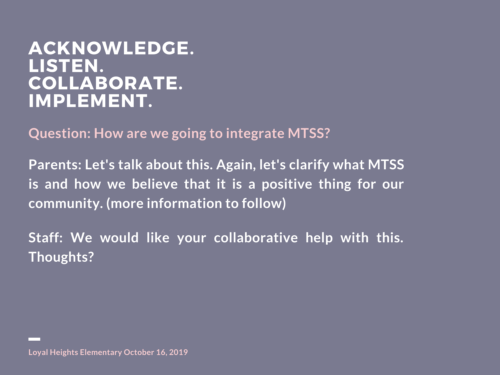**Question: How are we going to integrate MTSS?**

**Parents: Let's talk about this. Again, let's clarify what MTSS is and how we believe that it is a positive thing for our community. (more information to follow)**

**Staff: We would like your collaborative help with this. Thoughts?**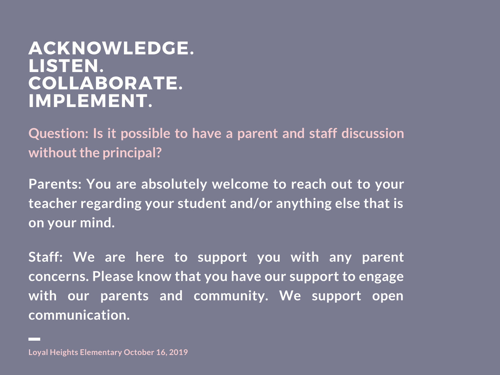**Question: Is it possible to have a parent and staff discussion without the principal?** 

**Parents: You are absolutely welcome to reach out to your teacher regarding your student and/or anything else that is on your mind.**

**Staff: We are here to support you with any parent concerns. Please know that you have our support to engage with our parents and community. We support open communication.**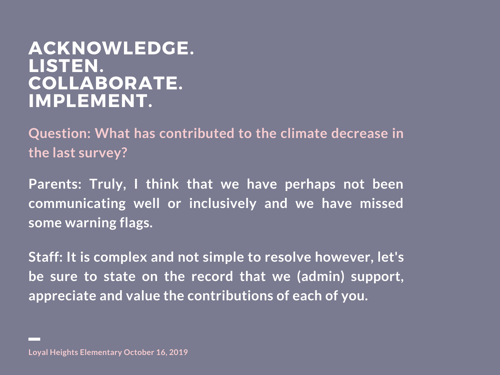**Question: What has contributed to the climate decrease in the last survey?**

**Parents: Truly, I think that we have perhaps not been communicating well or inclusively and we have missed some warning flags.**

**Staff: It is complex and not simple to resolve however, let's be sure to state on the record that we (admin) support, appreciate and value the contributions of each of you.**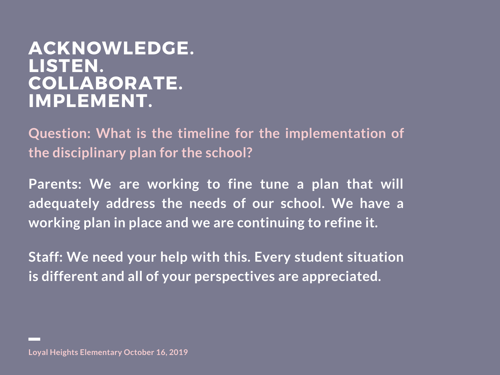**Question: What is the timeline for the implementation of the disciplinary plan for the school?**

**Parents: We are working to fine tune a plan that will adequately address the needs of our school. We have a working plan in place and we are continuing to refine it.**

**Staff: We need your help with this. Every student situation is different and all of your perspectives are appreciated.**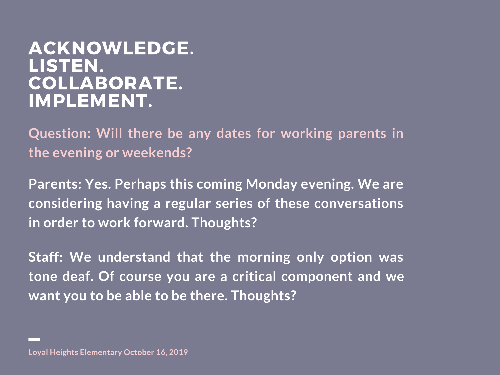**Question: Will there be any dates for working parents in the evening or weekends?**

**Parents: Yes. Perhaps this coming Monday evening. We are considering having a regular series of these conversations in order to work forward. Thoughts?**

**Staff: We understand that the morning only option was tone deaf. Of course you are a critical component and we want you to be able to be there. Thoughts?**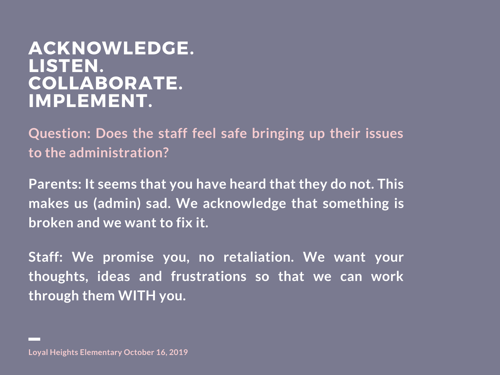**Question: Does the staff feel safe bringing up their issues to the administration?**

**Parents: It seems that you have heard that they do not. This makes us (admin) sad. We acknowledge that something is broken and we want to fix it.**

**Staff: We promise you, no retaliation. We want your thoughts, ideas and frustrations so that we can work through them WITH you.**